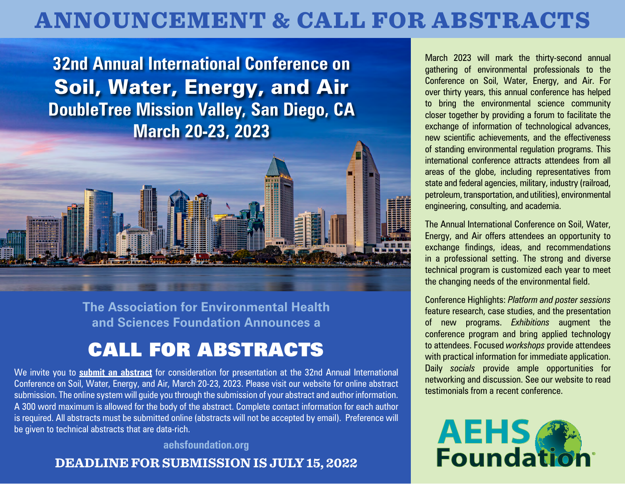# ANNOUNCEMENT & CALL FOR ABSTRACTS

**32nd Annual International Conference on**  Soil, Water, Energy, and Air **DoubleTree Mission Valley, San Diego, CA March 20-23, 2023**



**The Association for Environmental Health and Sciences Foundation Announces a** 

## CALL FOR ABSTRACTS

We invite you to **[submit an abstract](https://www.xcdsystem.com/AEHS/abstract/index.cfm?ID=PNaZlEi)** for consideration for presentation at the 32nd Annual International Conference on Soil, Water, Energy, and Air, March 20-23, 2023. Please visit our website for online abstract submission. The online system will guide you through the submission of your abstract and author information. A 300 word maximum is allowed for the body of the abstract. Complete contact information for each author is required. All abstracts must be submitted online (abstracts will not be accepted by email). Preference will be given to technical abstracts that are data-rich.

**[aehsfoundation.org](www.aehsfoundation.org)** 

### **DEADLINE FOR SUBMISSION IS JULY 15, 2022**

March 2023 will mark the thirty-second annual gathering of environmental professionals to the Conference on Soil, Water, Energy, and Air. For over thirty years, this annual conference has helped to bring the environmental science community closer together by providing a forum to facilitate the exchange of information of technological advances, new scientific achievements, and the effectiveness of standing environmental regulation programs. This international conference attracts attendees from all areas of the globe, including representatives from state and federal agencies, military, industry (railroad, petroleum, transportation, and utilities), environmental engineering, consulting, and academia.

The Annual International Conference on Soil, Water, Energy, and Air offers attendees an opportunity to exchange findings, ideas, and recommendations in a professional setting. The strong and diverse technical program is customized each year to meet the changing needs of the environmental field.

Conference Highlights: *Platform and poster sessions* feature research, case studies, and the presentation of new programs. *Exhibitions* augment the conference program and bring applied technology to attendees. Focused *workshops* provide attendees with practical information for immediate application. Daily *socials* provide ample opportunities for networking and discussion. See our website to read testimonials from a recent conference.